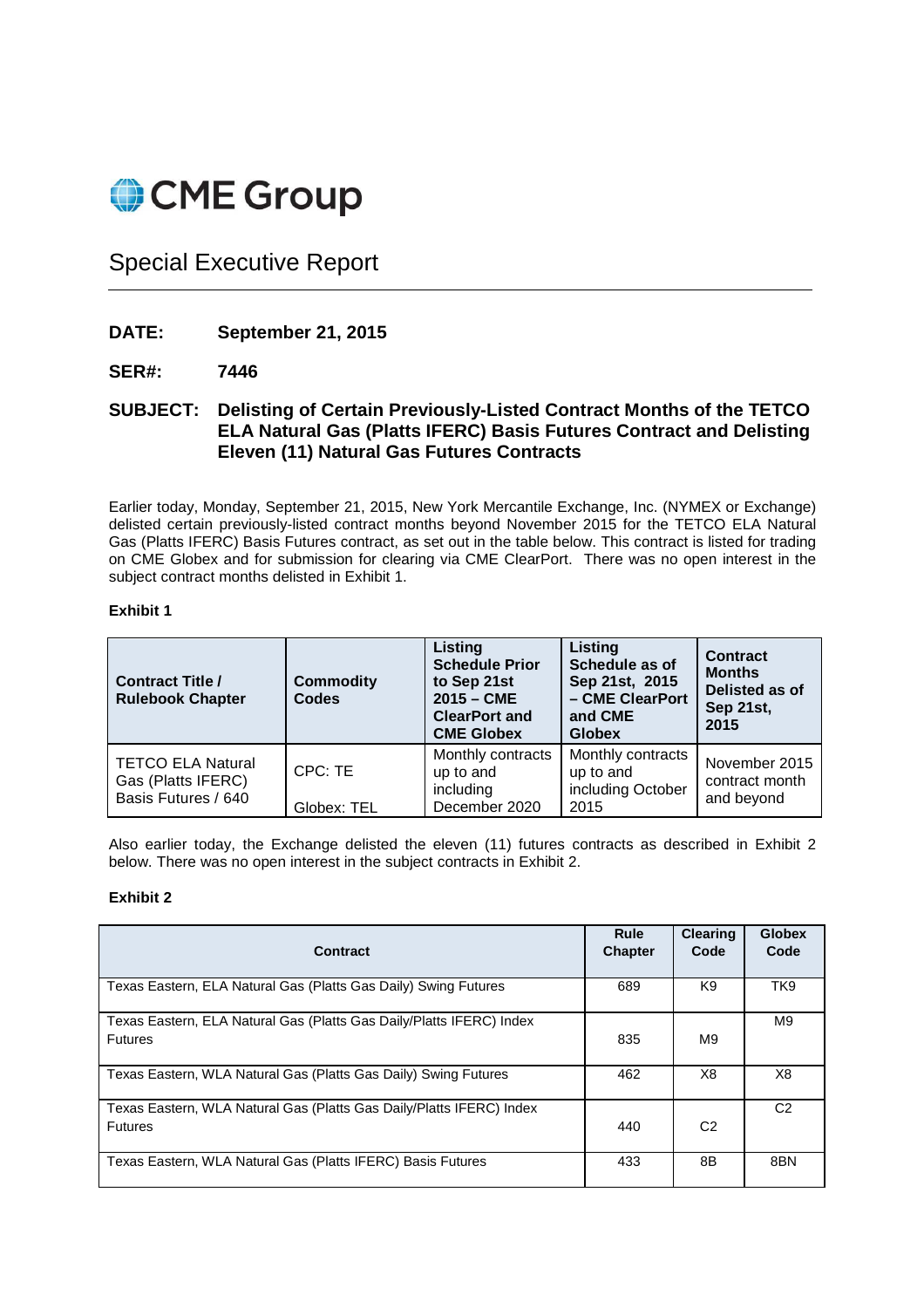

## Special Executive Report

- **DATE: September 21, 2015**
- **SER#: 7446**
- **SUBJECT: Delisting of Certain Previously-Listed Contract Months of the TETCO ELA Natural Gas (Platts IFERC) Basis Futures Contract and Delisting Eleven (11) Natural Gas Futures Contracts**

Earlier today, Monday, September 21, 2015, New York Mercantile Exchange, Inc. (NYMEX or Exchange) delisted certain previously-listed contract months beyond November 2015 for the TETCO ELA Natural Gas (Platts IFERC) Basis Futures contract, as set out in the table below. This contract is listed for trading on CME Globex and for submission for clearing via CME ClearPort. There was no open interest in the subject contract months delisted in Exhibit 1.

## **Exhibit 1**

| <b>Contract Title /</b><br><b>Rulebook Chapter</b>                    | <b>Commodity</b><br><b>Codes</b> | Listing<br><b>Schedule Prior</b><br>to Sep 21st<br>$2015 - CME$<br><b>ClearPort and</b><br><b>CME Globex</b> | Listing<br>Schedule as of<br>Sep 21st, 2015<br>- CME ClearPort<br>and CME<br><b>Globex</b> | <b>Contract</b><br><b>Months</b><br>Delisted as of<br>Sep 21st,<br>2015 |
|-----------------------------------------------------------------------|----------------------------------|--------------------------------------------------------------------------------------------------------------|--------------------------------------------------------------------------------------------|-------------------------------------------------------------------------|
| <b>TETCO ELA Natural</b><br>Gas (Platts IFERC)<br>Basis Futures / 640 | CPC: TE<br>Globex: TEL           | Monthly contracts<br>up to and<br>including<br>December 2020                                                 | Monthly contracts<br>up to and<br>including October<br>2015                                | November 2015<br>contract month<br>and beyond                           |

Also earlier today, the Exchange delisted the eleven (11) futures contracts as described in Exhibit 2 below. There was no open interest in the subject contracts in Exhibit 2.

## **Exhibit 2**

|                                                                      | Rule           | <b>Clearing</b> | <b>Globex</b>   |
|----------------------------------------------------------------------|----------------|-----------------|-----------------|
| Contract                                                             | <b>Chapter</b> | Code            | Code            |
| Texas Eastern, ELA Natural Gas (Platts Gas Daily) Swing Futures      | 689            | K <sub>9</sub>  | TK <sub>9</sub> |
| Texas Eastern, ELA Natural Gas (Platts Gas Daily/Platts IFERC) Index |                |                 | M <sub>9</sub>  |
| <b>Futures</b>                                                       | 835            | M <sub>9</sub>  |                 |
| Texas Eastern, WLA Natural Gas (Platts Gas Daily) Swing Futures      | 462            | X8              | X8              |
| Texas Eastern, WLA Natural Gas (Platts Gas Daily/Platts IFERC) Index |                |                 | C <sub>2</sub>  |
| <b>Futures</b>                                                       | 440            | C <sub>2</sub>  |                 |
| Texas Eastern, WLA Natural Gas (Platts IFERC) Basis Futures          | 433            | 8B              | 8BN             |